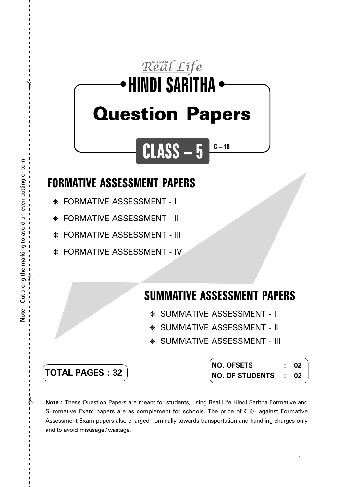## Real Life **HINDI SARITHA** ● ● Question Papers

**CLASS – 5**

## **FORMATIVE ASSESSMENT PAPERS**

❋ FORMATIVE ASSESSMENT - I

❋ FORMATIVE ASSESSMENT - II

❋ FORMATIVE ASSESSMENT - III

❋ FORMATIVE ASSESSMENT - IV

## **SUMMATIVE ASSESSMENT PAPERS**

**C – 18**

- ❋ SUMMATIVE ASSESSMENT I
- ❋ SUMMATIVE ASSESSMENT II
- ❋ SUMMATIVE ASSESSMENT III

| <b>TOTAL PAGES:32</b> |
|-----------------------|
|-----------------------|

| NO. OFSETS           | -02 |
|----------------------|-----|
| NO. OF STUDENTS : 02 |     |

**Note :** These Question Papers are meant for students, using Real Life Hindi Saritha Formative and Summative Exam papers are as complement for schools. The price of  $\bar{\tau}$  4/- against Formative Assessment Exam papers also charged nominally towards transportation and handling charges only and to avoid misusage / wastage.

 $\lambda$ 

✃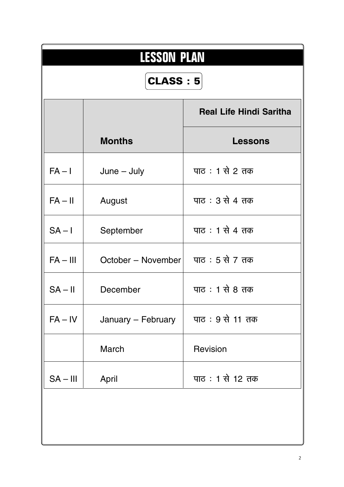| <b>LESSON PLAN</b><br><b>CLASS: 5</b> |                    |                                |  |  |
|---------------------------------------|--------------------|--------------------------------|--|--|
|                                       |                    | <b>Real Life Hindi Saritha</b> |  |  |
|                                       | <b>Months</b>      | <b>Lessons</b>                 |  |  |
| $FA - I$                              | $June - July$      | पाठ: 1 से 2 तक                 |  |  |
| $FA - II$                             | August             | पाठ : 3 से 4 तक                |  |  |
| $SA - I$                              | September          | पाठ : 1 से 4 तक                |  |  |
| $FA - III$                            | October – November | पाठ : 5 से 7 तक                |  |  |
| $SA - II$                             | December           | पाठ : 1 से 8 तक                |  |  |
| $FA - IV$                             | January - February | पाठ: 9 से 11 तक                |  |  |
|                                       | March              | Revision                       |  |  |
| $SA - III$                            | April              | पाठ: 1 से 12 तक                |  |  |
|                                       |                    |                                |  |  |
|                                       |                    |                                |  |  |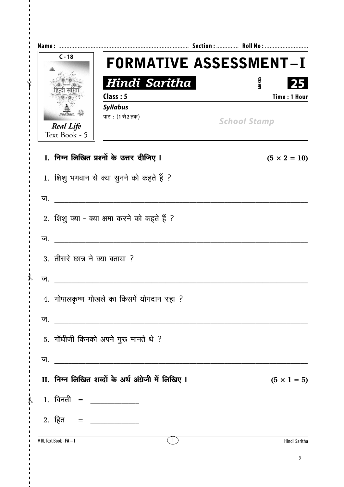|                                | $C - 18$                                                                 | <b>FORMATIVE ASSESSMENT-I</b> |
|--------------------------------|--------------------------------------------------------------------------|-------------------------------|
|                                | Hindi Saritha                                                            | <b>MARKS</b><br>25            |
|                                | Class: 5                                                                 | <b>Time: 1 Hour</b>           |
|                                | <b>Syllabus</b><br>पाठ: (1 से 2 तक)<br><b>Real Life</b><br>Text Book - 5 | <b>School Stamp</b>           |
|                                | I. निम्न लिखित प्रश्नों के उत्तर दीजिए I                                 | $(5 \times 2 = 10)$           |
|                                | 1. शिशु भगवान से क्या सुनने को कहते हैं ?                                |                               |
| ज.                             |                                                                          |                               |
|                                | 2. शिशु क्या - क्या क्षमा करने को कहते हैं ?                             |                               |
| ज.                             |                                                                          |                               |
|                                | 3. तीसरे छात्र ने क्या बताया ?                                           |                               |
| ज.                             |                                                                          |                               |
|                                | 4. गोपालकृष्ण गोखले का किसमें योगदान रहा ?                               |                               |
| ज.                             |                                                                          |                               |
|                                | 5. गाँधीजी किनको अपने गुरू मानते थे ?                                    |                               |
| ज.                             | <u> 1989 - Johann Barbara, martin amerikan basal da</u>                  |                               |
|                                | II. निम्न लिखित शब्दों के अर्थ अंग्रेजी में लिखिए I                      | $(5 \times 1 = 5)$            |
|                                |                                                                          |                               |
|                                |                                                                          |                               |
| V RL Text Book - <b>FA - I</b> | (1)                                                                      | Hindi Saritha                 |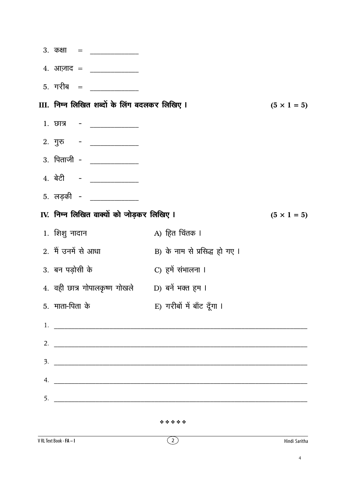| 3. कक्षा = ____________                       |                               |                    |
|-----------------------------------------------|-------------------------------|--------------------|
|                                               |                               |                    |
|                                               |                               |                    |
| III. निम्न लिखित शब्दों के लिंग बदलकर लिखिए I |                               | $(5 \times 1 = 5)$ |
| $1.$ छात्र   -   ____________                 |                               |                    |
|                                               |                               |                    |
| 3. पिताजी - <u>______________</u>             |                               |                    |
| 4. बेटी - _________                           |                               |                    |
| 5. लड़की - <u>____________</u>                |                               |                    |
| IV. निम्न लिखित वाक्यों को जोड़कर लिखिए ।     |                               | $(5 \times 1 = 5)$ |
| 1. शिशु नादान                                 | A) हित चिंतक ।                |                    |
| 2. मैं उनमें से आधा                           | B) के नाम से प्रसिद्ध हो गए । |                    |
| 3. बन पड़ोसी के                               | C) हमें संभालना ।             |                    |
| 4. वही छात्र गोपालकृष्ण गोखले                 | D) बनें भक्त हम ।             |                    |
| 5. माता-पिता के                               | E) गरीबों में बाँट दूँगा ।    |                    |
| 1. $\overline{\phantom{a}}$                   |                               |                    |
|                                               |                               |                    |
|                                               | $\overline{\mathbf{3}}$ .     |                    |
| 4. $\qquad \qquad$                            |                               |                    |
|                                               |                               |                    |
|                                               |                               |                    |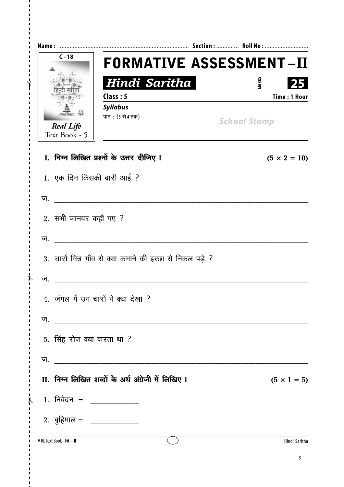| $C - 18$                          | <b>FORMATIVE ASSESSMENT-II</b>                                                                                        |                                           |
|-----------------------------------|-----------------------------------------------------------------------------------------------------------------------|-------------------------------------------|
|                                   | Hindi Saritha<br>Class: 5                                                                                             | <b>MARKS</b><br>25<br><b>Time: 1 Hour</b> |
| <b>Real Life</b><br>Text Book - 5 | <b>Syllabus</b><br>पाठ: (3 से 4 तक)                                                                                   | <b>School Stamp</b>                       |
|                                   | I. निम्न लिखित प्रश्नों के उत्तर दीजिए I                                                                              | $(5 \times 2 = 10)$                       |
|                                   | 1. एक दिन किसकी बारी आई ?                                                                                             |                                           |
| ज.                                |                                                                                                                       |                                           |
| 2. सभी जानवर कहाँ गए ?            |                                                                                                                       |                                           |
| ज.                                |                                                                                                                       |                                           |
|                                   | 3. चारों मित्र गाँव से क्या कमाने की इच्छा से निकल पड़े ?                                                             |                                           |
| ज.                                |                                                                                                                       |                                           |
|                                   | 4. जंगल में उन चारों ने क्या देखा ?                                                                                   |                                           |
| ज.                                |                                                                                                                       |                                           |
| 5. सिंह रोज क्या करता था ?        |                                                                                                                       |                                           |
| ज.                                | <u> 1989 - Johann Barn, mars ann an t-Amhain an t-Amhain an t-Amhain an t-Amhain an t-Amhain an t-Amhain an t-Amh</u> |                                           |
|                                   | II. निम्न लिखित शब्दों के अर्थ अंग्रेजी में लिखिए I                                                                   | $(5 \times 1 = 5)$                        |
|                                   |                                                                                                                       |                                           |
|                                   | 2. बुहिमाल = _____________                                                                                            |                                           |
| V RL Text Book - <b>FA - II</b>   | $\binom{1}{ }$                                                                                                        | Hindi Saritha                             |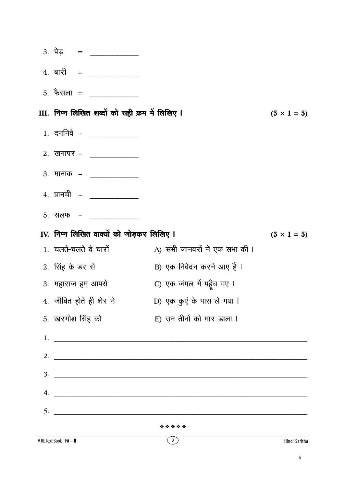|    | V RL Text Book - FA - II |                                                 | $\left( 2\right)$                                                                                                                                                                                                                                                                                                      | Hindi Saritha      |
|----|--------------------------|-------------------------------------------------|------------------------------------------------------------------------------------------------------------------------------------------------------------------------------------------------------------------------------------------------------------------------------------------------------------------------|--------------------|
|    |                          |                                                 | *****                                                                                                                                                                                                                                                                                                                  |                    |
| 5. |                          |                                                 |                                                                                                                                                                                                                                                                                                                        |                    |
| 4. |                          |                                                 |                                                                                                                                                                                                                                                                                                                        |                    |
| 3. |                          |                                                 |                                                                                                                                                                                                                                                                                                                        |                    |
| 2. |                          |                                                 | <u> 2000 - Jan James James James James James James James James James James James James James James James James J</u>                                                                                                                                                                                                   |                    |
|    |                          |                                                 | $1.$ $\frac{1}{2}$ $\frac{1}{2}$ $\frac{1}{2}$ $\frac{1}{2}$ $\frac{1}{2}$ $\frac{1}{2}$ $\frac{1}{2}$ $\frac{1}{2}$ $\frac{1}{2}$ $\frac{1}{2}$ $\frac{1}{2}$ $\frac{1}{2}$ $\frac{1}{2}$ $\frac{1}{2}$ $\frac{1}{2}$ $\frac{1}{2}$ $\frac{1}{2}$ $\frac{1}{2}$ $\frac{1}{2}$ $\frac{1}{2}$ $\frac{1}{2}$ $\frac{1}{$ |                    |
|    | 5. खरगोश सिंह को         |                                                 | E) उन तीनों को मार डाला ।                                                                                                                                                                                                                                                                                              |                    |
|    |                          | 4. जीवित होते ही शेर ने                         | D) एक कुएं के पास ले गया ।                                                                                                                                                                                                                                                                                             |                    |
|    | 3. महाराज हम आपसे        |                                                 | C) एक जंगल में पहूँच गए ।                                                                                                                                                                                                                                                                                              |                    |
|    | 2. सिंह के डर से         |                                                 | B) एक निवेदन करने आए हैं।                                                                                                                                                                                                                                                                                              |                    |
|    | 1. चलते-चलते वे चारों    |                                                 | A) सभी जानवरों ने एक सभा की ।                                                                                                                                                                                                                                                                                          |                    |
|    |                          | IV. निम्न लिखित वाक्यों को जोड़कर लिखिए ।       |                                                                                                                                                                                                                                                                                                                        | $(5 \times 1 = 5)$ |
|    |                          | <u>5. सलफ – पाया पाया प</u>                     |                                                                                                                                                                                                                                                                                                                        |                    |
|    |                          | 4. प्रानची – ______________                     |                                                                                                                                                                                                                                                                                                                        |                    |
|    |                          | 3. मानाक – ______________                       |                                                                                                                                                                                                                                                                                                                        |                    |
|    |                          | 2. खनापर – ____________                         |                                                                                                                                                                                                                                                                                                                        |                    |
|    |                          | $1.$ दननिवे – _____________                     |                                                                                                                                                                                                                                                                                                                        |                    |
|    |                          | III. निम्न लिखित शब्दों को सही क्रम में लिखिए I |                                                                                                                                                                                                                                                                                                                        | $(5 \times 1 = 5)$ |
|    |                          | 5. फैसला = ___________                          |                                                                                                                                                                                                                                                                                                                        |                    |
|    |                          |                                                 |                                                                                                                                                                                                                                                                                                                        |                    |
|    |                          | 3. पेड़ = ___________                           |                                                                                                                                                                                                                                                                                                                        |                    |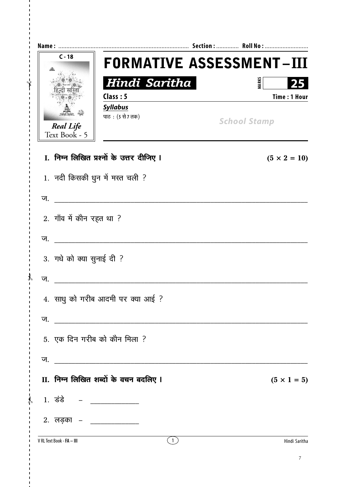| $C - 18$                          | <b>FORMATIVE ASSESSMENT-III</b>               |                                     |
|-----------------------------------|-----------------------------------------------|-------------------------------------|
|                                   | Hindi Saritha<br>Class: 5                     | <b>MARKS</b><br><b>Time: 1 Hour</b> |
| <b>Real Life</b><br>Text Book - 5 | <b>Syllabus</b><br>पाठ: (5 से 7 तक)           | <b>School Stamp</b>                 |
|                                   | I. निम्न लिखित प्रश्नों के उत्तर दीजिए I      | $(5 \times 2 = 10)$                 |
|                                   | 1. नदी किसकी धुन में मस्त चली ?               |                                     |
| ज.                                |                                               |                                     |
| 2. गाँव में कौन रहत था ?          |                                               |                                     |
| ज.                                |                                               |                                     |
| 3. गधे को क्या सुनाई दी ?         |                                               |                                     |
| ज.                                |                                               |                                     |
|                                   | 4. साधु को गरीब आदमी पर क्या आई ?             |                                     |
| ज.                                | <u> 1980 - Andrea Andrew Maria (h. 1980).</u> |                                     |
|                                   | 5. एक दिन गरीब को कौन मिला ?                  |                                     |
| ज.                                |                                               |                                     |
|                                   | II. निम्न लिखित शब्दों के वचन बदलिए I         | $(5 \times 1 = 5)$                  |
| , 1. डंडे – __________            |                                               |                                     |
| 2. लड़का – <u>___________</u>     |                                               |                                     |
| V RL Text Book - FA - III         | (1)                                           | Hindi Saritha                       |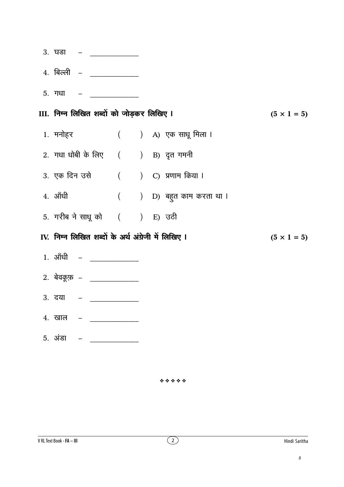$3.$  घडा  $4.$  बिल्ली  $-$ 5. गधा III. निम्न लिखित शब्दों को जोड़कर लिखिए ।  $(5 \times 1 = 5)$ 1. मनोहर ( ) A) एक साधू मिला । 2. गधा धोबी के लिए ( ) B) दृत गमनी 3. एक दिन उसे ( ) C) प्रणाम किया ।  $4.$  ऑधी ( ) D) बहुत काम करता था । 5. गरीब ने साधू को ( ) E) उठी IV. निम्न लिखित शब्दों के अर्थ अंग्रेजी में लिखिए I  $(5 \times 1 = 5)$ 1. आँधी –  $\frac{1}{2}$ 2. बेवकूफ़ – \_\_\_\_\_\_\_\_\_\_\_\_\_\_\_ 3. दया <u> 1990 - Jan Barnett, politik e</u> **4. खाल**  $5.$  अंडा  $-$ 

\*\*\*\*\*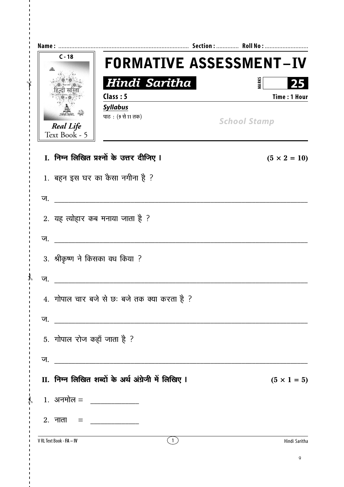| $C - 18$                          |                                                     | <b>FORMATIVE ASSESSMENT-IV</b>            |
|-----------------------------------|-----------------------------------------------------|-------------------------------------------|
|                                   | Hindi Saritha<br>Class: 5<br><b>Syllabus</b>        | <b>MARKS</b><br>25<br><b>Time: 1 Hour</b> |
| <b>Real Life</b><br>Text Book - 5 | पाठ: (९ से 11 तक)                                   | <b>School Stamp</b>                       |
|                                   | I. निम्न लिखित प्रश्नों के उत्तर दीजिए I            | $(5 \times 2 = 10)$                       |
|                                   | 1. बहन इस घर का कैसा नगीना है ?                     |                                           |
| ज.                                |                                                     |                                           |
|                                   | 2. यह त्योहार कब मनाया जाता है ?                    |                                           |
| ज.                                |                                                     |                                           |
|                                   | 3. श्रीकृष्ण ने किसका वध किया ?                     |                                           |
| ज.                                |                                                     |                                           |
|                                   | 4. गोपाल चार बजे से छः बजे तक क्या करता है ?        |                                           |
|                                   |                                                     |                                           |
| 5. गोपाल रोज कहाँ जाता है ?       |                                                     |                                           |
|                                   |                                                     |                                           |
|                                   | II. निम्न लिखित शब्दों के अर्थ अंग्रेजी में लिखिए I | $(5 \times 1 = 5)$                        |
| , 1. अनमोल = _______________      |                                                     |                                           |
|                                   |                                                     |                                           |
| V RL Text Book - FA - IV          | (1)                                                 | Hindi Saritha                             |